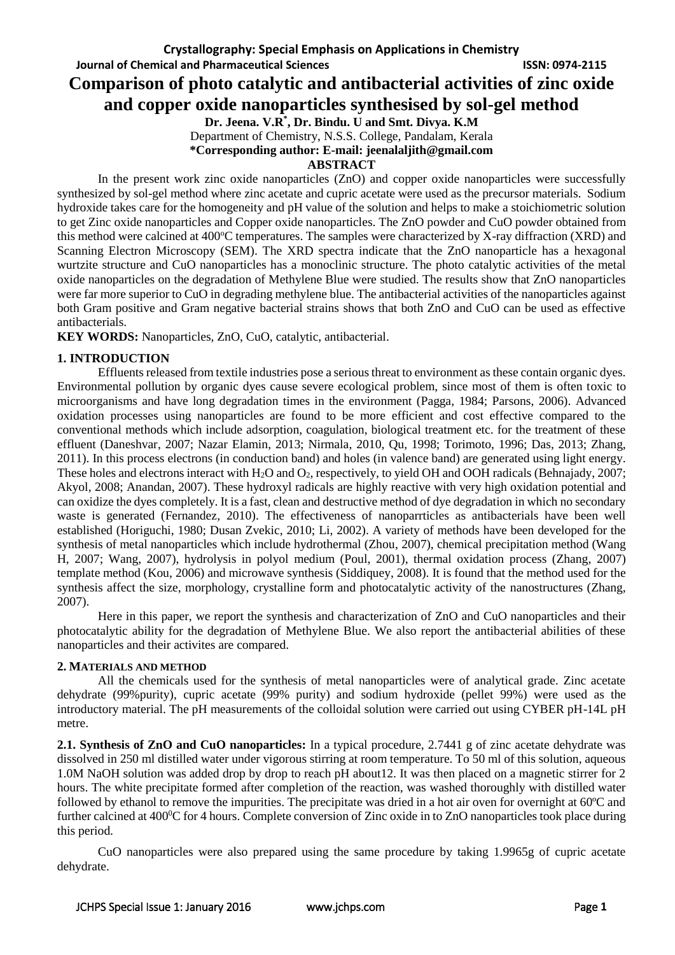**Journal of Chemical and Pharmaceutical Sciences ISSN: 0974-2115**

# **Comparison of photo catalytic and antibacterial activities of zinc oxide**

**and copper oxide nanoparticles synthesised by sol-gel method**

**Dr. Jeena. V.R\* , Dr. Bindu. U and Smt. Divya. K.M** Department of Chemistry, N.S.S. College, Pandalam, Kerala

**\*Corresponding author: E-mail: jeenalaljith@gmail.com**

#### **ABSTRACT**

In the present work zinc oxide nanoparticles (ZnO) and copper oxide nanoparticles were successfully synthesized by sol-gel method where zinc acetate and cupric acetate were used as the precursor materials. Sodium hydroxide takes care for the homogeneity and pH value of the solution and helps to make a stoichiometric solution to get Zinc oxide nanoparticles and Copper oxide nanoparticles. The ZnO powder and CuO powder obtained from this method were calcined at  $400^{\circ}$ C temperatures. The samples were characterized by X-ray diffraction (XRD) and Scanning Electron Microscopy (SEM). The XRD spectra indicate that the ZnO nanoparticle has a hexagonal wurtzite structure and CuO nanoparticles has a monoclinic structure. The photo catalytic activities of the metal oxide nanoparticles on the degradation of Methylene Blue were studied. The results show that ZnO nanoparticles were far more superior to CuO in degrading methylene blue. The antibacterial activities of the nanoparticles against both Gram positive and Gram negative bacterial strains shows that both ZnO and CuO can be used as effective antibacterials.

**KEY WORDS:** Nanoparticles, ZnO, CuO, catalytic, antibacterial.

# **1. INTRODUCTION**

Effluents released from textile industries pose a serious threat to environment as these contain organic dyes. Environmental pollution by organic dyes cause severe ecological problem, since most of them is often toxic to microorganisms and have long degradation times in the environment (Pagga, 1984; Parsons, 2006). Advanced oxidation processes using nanoparticles are found to be more efficient and cost effective compared to the conventional methods which include adsorption, coagulation, biological treatment etc. for the treatment of these effluent (Daneshvar, 2007; Nazar Elamin, 2013; Nirmala, 2010, Qu, 1998; Torimoto, 1996; Das, 2013; Zhang, 2011). In this process electrons (in conduction band) and holes (in valence band) are generated using light energy. These holes and electrons interact with H<sub>2</sub>O and O<sub>2</sub>, respectively, to yield OH and OOH radicals (Behnajady, 2007; Akyol, 2008; Anandan, 2007). These hydroxyl radicals are highly reactive with very high oxidation potential and can oxidize the dyes completely. It is a fast, clean and destructive method of dye degradation in which no secondary waste is generated (Fernandez, 2010). The effectiveness of nanoparrticles as antibacterials have been well established (Horiguchi, 1980; Dusan Zvekic, 2010; Li, 2002). A variety of methods have been developed for the synthesis of metal nanoparticles which include hydrothermal (Zhou, 2007), chemical precipitation method (Wang H, 2007; Wang, 2007), hydrolysis in polyol medium (Poul, 2001), thermal oxidation process (Zhang, 2007) template method (Kou, 2006) and microwave synthesis (Siddiquey, 2008). It is found that the method used for the synthesis affect the size, morphology, crystalline form and photocatalytic activity of the nanostructures (Zhang, 2007).

Here in this paper, we report the synthesis and characterization of ZnO and CuO nanoparticles and their photocatalytic ability for the degradation of Methylene Blue. We also report the antibacterial abilities of these nanoparticles and their activites are compared.

# **2. MATERIALS AND METHOD**

All the chemicals used for the synthesis of metal nanoparticles were of analytical grade. Zinc acetate dehydrate (99%purity), cupric acetate (99% purity) and sodium hydroxide (pellet 99%) were used as the introductory material. The pH measurements of the colloidal solution were carried out using CYBER pH-14L pH metre.

**2.1. Synthesis of ZnO and CuO nanoparticles:** In a typical procedure, 2.7441 g of zinc acetate dehydrate was dissolved in 250 ml distilled water under vigorous stirring at room temperature. To 50 ml of this solution, aqueous 1.0M NaOH solution was added drop by drop to reach pH about12. It was then placed on a magnetic stirrer for 2 hours. The white precipitate formed after completion of the reaction, was washed thoroughly with distilled water followed by ethanol to remove the impurities. The precipitate was dried in a hot air oven for overnight at 60ºC and further calcined at  $400\textdegree$ C for 4 hours. Complete conversion of Zinc oxide in to ZnO nanoparticles took place during this period.

CuO nanoparticles were also prepared using the same procedure by taking 1.9965g of cupric acetate dehydrate.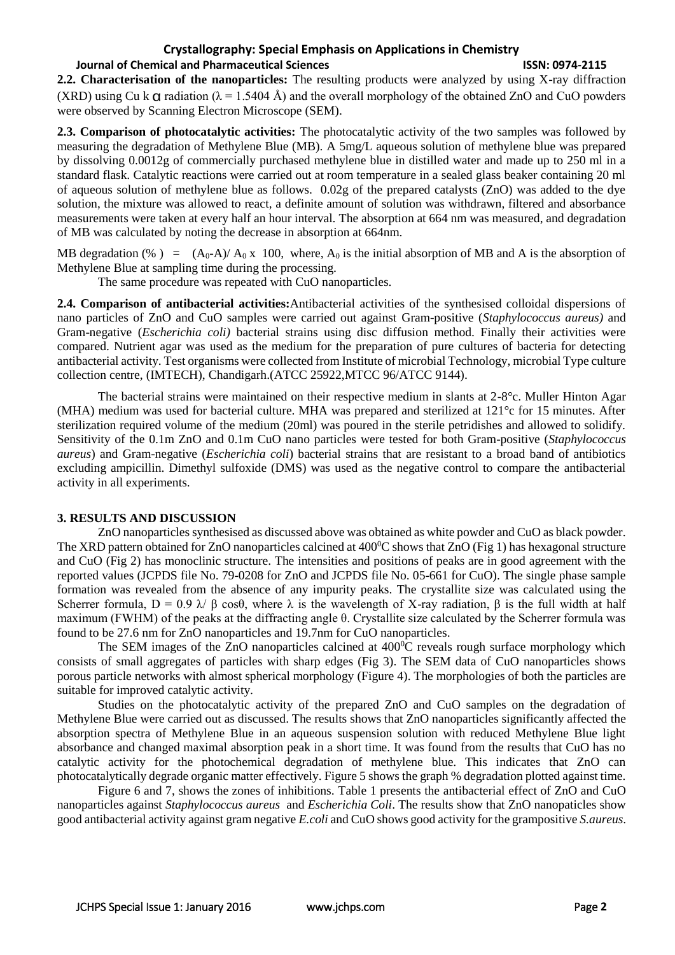#### **Crystallography: Special Emphasis on Applications in Chemistry**

### **Journal of Chemical and Pharmaceutical Sciences ISSN: 0974-2115**

**2.2. Characterisation of the nanoparticles:** The resulting products were analyzed by using X-ray diffraction (XRD) using Cu k  $\alpha$  radiation ( $\lambda$  = 1.5404 Å) and the overall morphology of the obtained ZnO and CuO powders were observed by Scanning Electron Microscope (SEM).

**2.3. Comparison of photocatalytic activities:** The photocatalytic activity of the two samples was followed by measuring the degradation of Methylene Blue (MB). A 5mg/L aqueous solution of methylene blue was prepared by dissolving 0.0012g of commercially purchased methylene blue in distilled water and made up to 250 ml in a standard flask. Catalytic reactions were carried out at room temperature in a sealed glass beaker containing 20 ml of aqueous solution of methylene blue as follows. 0.02g of the prepared catalysts (ZnO) was added to the dye solution, the mixture was allowed to react, a definite amount of solution was withdrawn, filtered and absorbance measurements were taken at every half an hour interval. The absorption at 664 nm was measured, and degradation of MB was calculated by noting the decrease in absorption at 664nm.

MB degradation (%) =  $(A_0-A)/A_0 x 100$ , where,  $A_0$  is the initial absorption of MB and A is the absorption of Methylene Blue at sampling time during the processing.

The same procedure was repeated with CuO nanoparticles.

**2.4. Comparison of antibacterial activities:**Antibacterial activities of the synthesised colloidal dispersions of nano particles of ZnO and CuO samples were carried out against Gram-positive (*Staphylococcus aureus)* and Gram-negative (*Escherichia coli)* bacterial strains using disc diffusion method. Finally their activities were compared. Nutrient agar was used as the medium for the preparation of pure cultures of bacteria for detecting antibacterial activity. Test organisms were collected from Institute of microbial Technology, microbial Type culture collection centre, (IMTECH), Chandigarh.(ATCC 25922,MTCC 96/ATCC 9144).

The bacterial strains were maintained on their respective medium in slants at 2-8°c. Muller Hinton Agar (MHA) medium was used for bacterial culture. MHA was prepared and sterilized at 121°c for 15 minutes. After sterilization required volume of the medium (20ml) was poured in the sterile petridishes and allowed to solidify. Sensitivity of the 0.1m ZnO and 0.1m CuO nano particles were tested for both Gram-positive (*Staphylococcus aureus*) and Gram-negative (*Escherichia coli*) bacterial strains that are resistant to a broad band of antibiotics excluding ampicillin. Dimethyl sulfoxide (DMS) was used as the negative control to compare the antibacterial activity in all experiments.

#### **3. RESULTS AND DISCUSSION**

ZnO nanoparticles synthesised as discussed above was obtained as white powder and CuO as black powder. The XRD pattern obtained for ZnO nanoparticles calcined at  $400^{\circ}$ C shows that ZnO (Fig 1) has hexagonal structure and CuO (Fig 2) has monoclinic structure. The intensities and positions of peaks are in good agreement with the reported values (JCPDS file No. 79-0208 for ZnO and JCPDS file No. 05-661 for CuO). The single phase sample formation was revealed from the absence of any impurity peaks. The crystallite size was calculated using the Scherrer formula,  $D = 0.9 \lambda / B \cos\theta$ , where  $\lambda$  is the wavelength of X-ray radiation. B is the full width at half maximum (FWHM) of the peaks at the diffracting angle θ. Crystallite size calculated by the Scherrer formula was found to be 27.6 nm for ZnO nanoparticles and 19.7nm for CuO nanoparticles.

The SEM images of the ZnO nanoparticles calcined at  $400^{\circ}$ C reveals rough surface morphology which consists of small aggregates of particles with sharp edges (Fig 3). The SEM data of CuO nanoparticles shows porous particle networks with almost spherical morphology (Figure 4). The morphologies of both the particles are suitable for improved catalytic activity.

Studies on the photocatalytic activity of the prepared ZnO and CuO samples on the degradation of Methylene Blue were carried out as discussed. The results shows that ZnO nanoparticles significantly affected the absorption spectra of Methylene Blue in an aqueous suspension solution with reduced Methylene Blue light absorbance and changed maximal absorption peak in a short time. It was found from the results that CuO has no catalytic activity for the photochemical degradation of methylene blue. This indicates that ZnO can photocatalytically degrade organic matter effectively. Figure 5 shows the graph % degradation plotted against time.

Figure 6 and 7, shows the zones of inhibitions. Table 1 presents the antibacterial effect of ZnO and CuO nanoparticles against *Staphylococcus aureus* and *Escherichia Coli*. The results show that ZnO nanopaticles show good antibacterial activity against gram negative *E.coli* and CuO shows good activity for the grampositive *S.aureus*.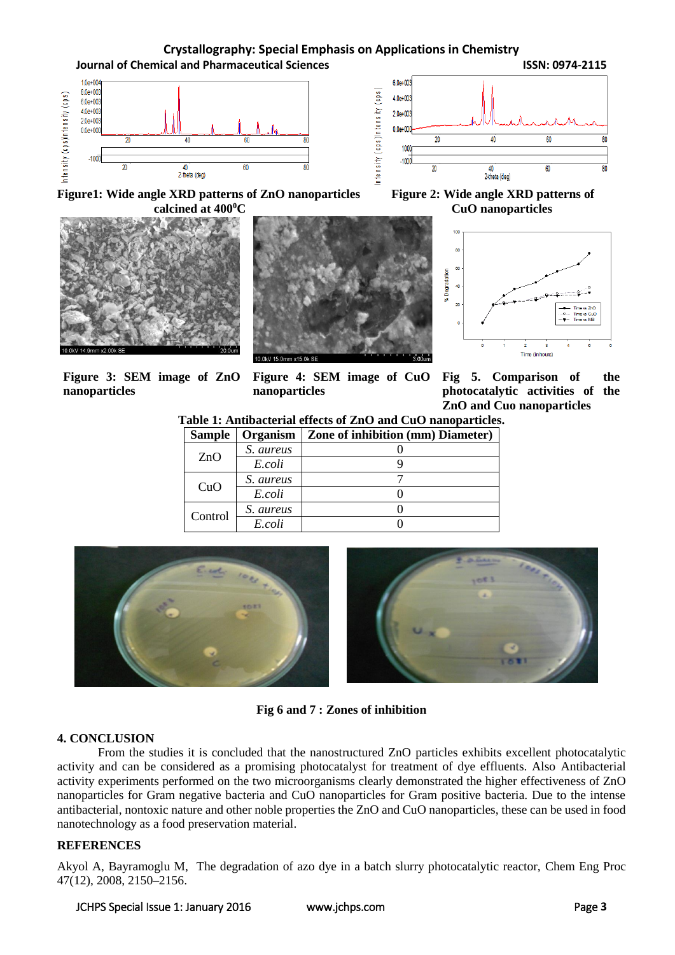# **Crystallography: Special Emphasis on Applications in Chemistry Journal of Chemical and Pharmaceutical Sciences ISSN: 0974-2115**





 $10<sup>1</sup>$ 

Figure1: Wide angle XRD patterns of ZnO nanoparticles Figure 2: Wide angle XRD patterns of **calcined at 400<sup>°</sup>C CuO nanoparticles** 







**Figure 3: SEM image of ZnO nanoparticles**

**Figure 4: SEM image of CuO nanoparticles**

**Fig 5. Comparison of the photocatalytic activities of the ZnO and Cuo nanoparticles**

**Table 1: Antibacterial effects of ZnO and CuO nanoparticles.**

| <b>Sample</b> | Organism  | Zone of inhibition (mm) Diameter) |
|---------------|-----------|-----------------------------------|
| ZnO           | S. aureus |                                   |
|               | E.coli    |                                   |
| CuO           | S. aureus |                                   |
|               | E.coli    |                                   |
| Control       | S. aureus |                                   |
|               | E.coli    |                                   |



**Fig 6 and 7 : Zones of inhibition**

# **4. CONCLUSION**

From the studies it is concluded that the nanostructured ZnO particles exhibits excellent photocatalytic activity and can be considered as a promising photocatalyst for treatment of dye effluents. Also Antibacterial activity experiments performed on the two microorganisms clearly demonstrated the higher effectiveness of ZnO nanoparticles for Gram negative bacteria and CuO nanoparticles for Gram positive bacteria. Due to the intense antibacterial, nontoxic nature and other noble properties the ZnO and CuO nanoparticles, these can be used in food nanotechnology as a food preservation material.

# **REFERENCES**

Akyol A, Bayramoglu M, The degradation of azo dye in a batch slurry photocatalytic reactor, Chem Eng Proc 47(12), 2008, 2150–2156.